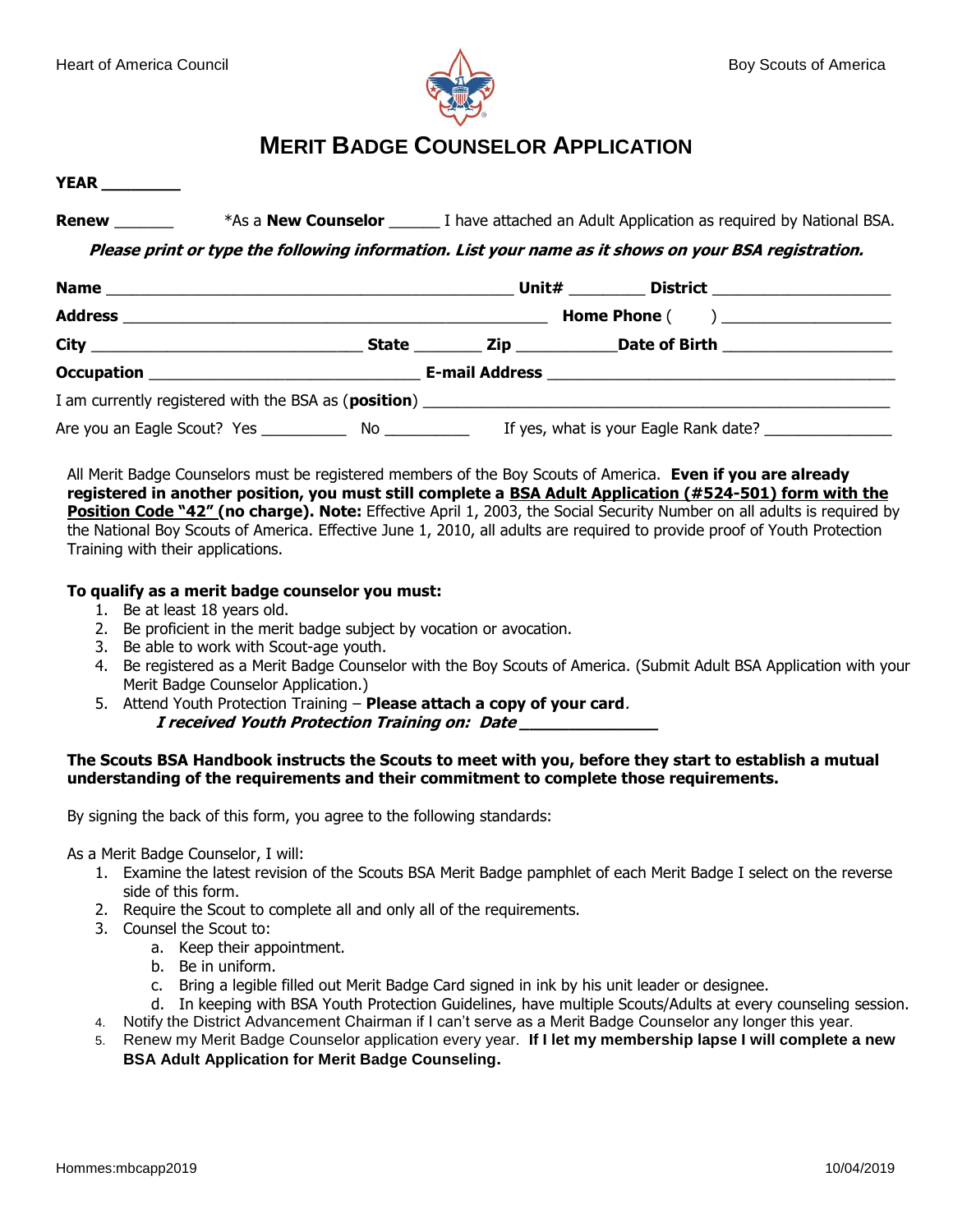

# **MERIT BADGE COUNSELOR APPLICATION**

**YEAR \_\_\_\_\_\_\_\_**

**Renew** \*As a **New Counselor I** have attached an Adult Application as required by National BSA.

**Please print or type the following information. List your name as it shows on your BSA registration.**

|  | Unit# __________ District ____________________ |                                       |  |
|--|------------------------------------------------|---------------------------------------|--|
|  |                                                |                                       |  |
|  |                                                |                                       |  |
|  |                                                |                                       |  |
|  |                                                |                                       |  |
|  |                                                | If yes, what is your Eagle Rank date? |  |

All Merit Badge Counselors must be registered members of the Boy Scouts of America. **Even if you are already registered in another position, you must still complete a BSA Adult Application (#524-501) form with the Position Code "42" (no charge). Note:** Effective April 1, 2003, the Social Security Number on all adults is required by the National Boy Scouts of America. Effective June 1, 2010, all adults are required to provide proof of Youth Protection Training with their applications.

### **To qualify as a merit badge counselor you must:**

- 1. Be at least 18 years old.
- 2. Be proficient in the merit badge subject by vocation or avocation.
- 3. Be able to work with Scout-age youth.
- 4. Be registered as a Merit Badge Counselor with the Boy Scouts of America. (Submit Adult BSA Application with your Merit Badge Counselor Application.)
- 5. Attend Youth Protection Training **Please attach a copy of your card**. **I received Youth Protection Training on: Date \_\_\_\_\_\_\_\_\_\_\_\_\_\_**

### **The Scouts BSA Handbook instructs the Scouts to meet with you, before they start to establish a mutual understanding of the requirements and their commitment to complete those requirements.**

By signing the back of this form, you agree to the following standards:

As a Merit Badge Counselor, I will:

- 1. Examine the latest revision of the Scouts BSA Merit Badge pamphlet of each Merit Badge I select on the reverse side of this form.
- 2. Require the Scout to complete all and only all of the requirements.
- 3. Counsel the Scout to:
	- a. Keep their appointment.
	- b. Be in uniform.
	- c. Bring a legible filled out Merit Badge Card signed in ink by his unit leader or designee.
	- d. In keeping with BSA Youth Protection Guidelines, have multiple Scouts/Adults at every counseling session.
- 4. Notify the District Advancement Chairman if I can't serve as a Merit Badge Counselor any longer this year.
- 5. Renew my Merit Badge Counselor application every year. **If I let my membership lapse I will complete a new BSA Adult Application for Merit Badge Counseling.**